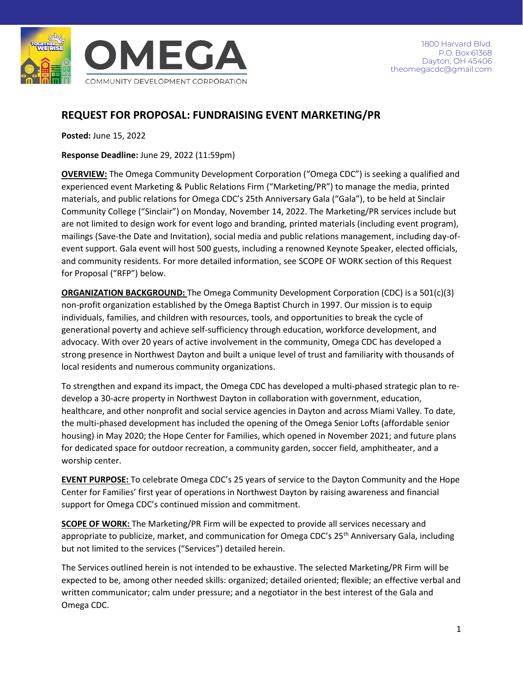

# **REQUEST FOR PROPOSAL: FUNDRAISING EVENT MARKETING/PR**

**Posted:** June 15, 2022

**Response Deadline:** June 29, 2022 (11:59pm)

**OVERVIEW:** The Omega Community Development Corporation ("Omega CDC") is seeking a qualified and experienced event Marketing & Public Relations Firm ("Marketing/PR") to manage the media, printed materials, and public relations for Omega CDC's 25th Anniversary Gala ("Gala"), to be held at Sinclair Community College ("Sinclair") on Monday, November 14, 2022. The Marketing/PR services include but are not limited to design work for event logo and branding, printed materials (including event program), mailings (Save-the Date and Invitation), social media and public relations management, including day-ofevent support. Gala event will host 500 guests, including a renowned Keynote Speaker, elected officials, and community residents. For more detailed information, see SCOPE OF WORK section of this Request for Proposal ("RFP") below.

**ORGANIZATION BACKGROUND:** The Omega Community Development Corporation (CDC) is a 501(c)(3) non-profit organization established by the Omega Baptist Church in 1997. Our mission is to equip individuals, families, and children with resources, tools, and opportunities to break the cycle of generational poverty and achieve self-sufficiency through education, workforce development, and advocacy. With over 20 years of active involvement in the community, Omega CDC has developed a strong presence in Northwest Dayton and built a unique level of trust and familiarity with thousands of local residents and numerous community organizations.

To strengthen and expand its impact, the Omega CDC has developed a multi-phased strategic plan to redevelop a 30-acre property in Northwest Dayton in collaboration with government, education, healthcare, and other nonprofit and social service agencies in Dayton and across Miami Valley. To date, the multi-phased development has included the opening of the Omega Senior Lofts (affordable senior housing) in May 2020; the Hope Center for Families, which opened in November 2021; and future plans for dedicated space for outdoor recreation, a community garden, soccer field, amphitheater, and a worship center.

**EVENT PURPOSE:** To celebrate Omega CDC's 25 years of service to the Dayton Community and the Hope Center for Families' first year of operations in Northwest Dayton by raising awareness and financial support for Omega CDC's continued mission and commitment.

**SCOPE OF WORK:** The Marketing/PR Firm will be expected to provide all services necessary and appropriate to publicize, market, and communication for Omega CDC's 25<sup>th</sup> Anniversary Gala, including but not limited to the services ("Services") detailed herein.

The Services outlined herein is not intended to be exhaustive. The selected Marketing/PR Firm will be expected to be, among other needed skills: organized; detailed oriented; flexible; an effective verbal and written communicator; calm under pressure; and a negotiator in the best interest of the Gala and Omega CDC.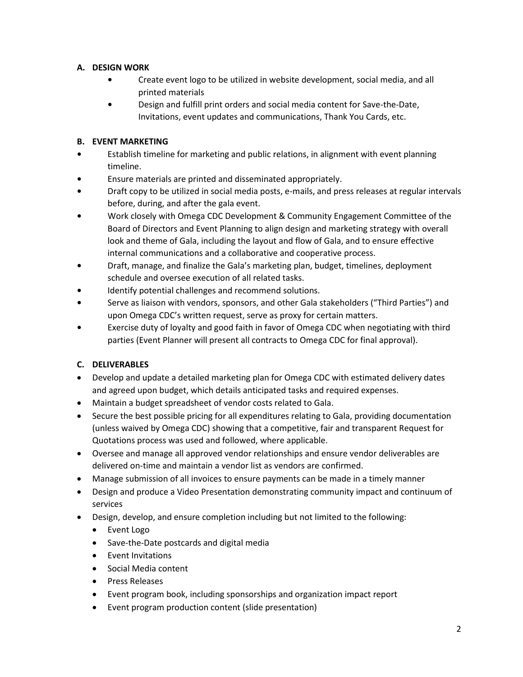## **A. DESIGN WORK**

- **•** Create event logo to be utilized in website development, social media, and all printed materials
- **•** Design and fulfill print orders and social media content for Save-the-Date, Invitations, event updates and communications, Thank You Cards, etc.

## **B. EVENT MARKETING**

- **•** Establish timeline for marketing and public relations, in alignment with event planning timeline.
- **•** Ensure materials are printed and disseminated appropriately.
- **•** Draft copy to be utilized in social media posts, e-mails, and press releases at regular intervals before, during, and after the gala event.
- **•** Work closely with Omega CDC Development & Community Engagement Committee of the Board of Directors and Event Planning to align design and marketing strategy with overall look and theme of Gala, including the layout and flow of Gala, and to ensure effective internal communications and a collaborative and cooperative process.
- **•** Draft, manage, and finalize the Gala's marketing plan, budget, timelines, deployment schedule and oversee execution of all related tasks.
- **•** Identify potential challenges and recommend solutions.
- **•** Serve as liaison with vendors, sponsors, and other Gala stakeholders ("Third Parties") and upon Omega CDC's written request, serve as proxy for certain matters.
- **•** Exercise duty of loyalty and good faith in favor of Omega CDC when negotiating with third parties (Event Planner will present all contracts to Omega CDC for final approval).

# **C. DELIVERABLES**

- Develop and update a detailed marketing plan for Omega CDC with estimated delivery dates and agreed upon budget, which details anticipated tasks and required expenses.
- Maintain a budget spreadsheet of vendor costs related to Gala.
- Secure the best possible pricing for all expenditures relating to Gala, providing documentation (unless waived by Omega CDC) showing that a competitive, fair and transparent Request for Quotations process was used and followed, where applicable.
- Oversee and manage all approved vendor relationships and ensure vendor deliverables are delivered on-time and maintain a vendor list as vendors are confirmed.
- Manage submission of all invoices to ensure payments can be made in a timely manner
- Design and produce a Video Presentation demonstrating community impact and continuum of services
- Design, develop, and ensure completion including but not limited to the following:
	- Event Logo
	- Save-the-Date postcards and digital media
	- Event Invitations
	- Social Media content
	- Press Releases
	- Event program book, including sponsorships and organization impact report
	- Event program production content (slide presentation)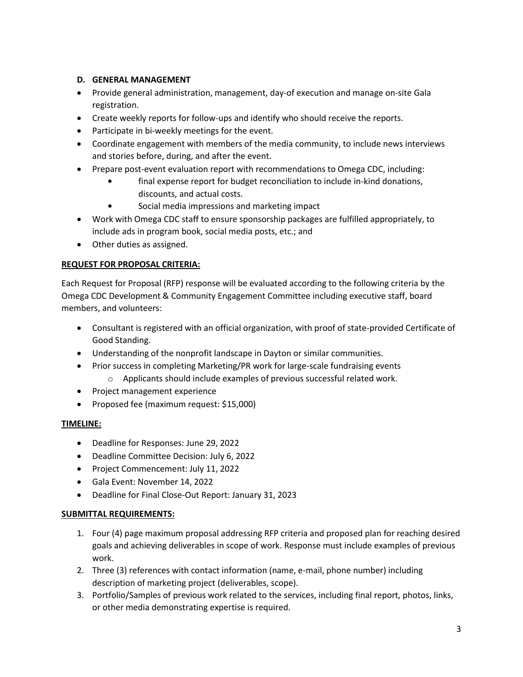#### **D. GENERAL MANAGEMENT**

- Provide general administration, management, day-of execution and manage on-site Gala registration.
- Create weekly reports for follow-ups and identify who should receive the reports.
- Participate in bi-weekly meetings for the event.
- Coordinate engagement with members of the media community, to include news interviews and stories before, during, and after the event.
- Prepare post-event evaluation report with recommendations to Omega CDC, including:
	- **•** final expense report for budget reconciliation to include in-kind donations, discounts, and actual costs.
	- **•** Social media impressions and marketing impact
- Work with Omega CDC staff to ensure sponsorship packages are fulfilled appropriately, to include ads in program book, social media posts, etc.; and
- Other duties as assigned.

#### **REQUEST FOR PROPOSAL CRITERIA:**

Each Request for Proposal (RFP) response will be evaluated according to the following criteria by the Omega CDC Development & Community Engagement Committee including executive staff, board members, and volunteers:

- Consultant is registered with an official organization, with proof of state-provided Certificate of Good Standing.
- Understanding of the nonprofit landscape in Dayton or similar communities.
- Prior success in completing Marketing/PR work for large-scale fundraising events o Applicants should include examples of previous successful related work.
- Project management experience
- Proposed fee (maximum request: \$15,000)

#### **TIMELINE:**

- Deadline for Responses: June 29, 2022
- Deadline Committee Decision: July 6, 2022
- Project Commencement: July 11, 2022
- Gala Event: November 14, 2022
- Deadline for Final Close-Out Report: January 31, 2023

#### **SUBMITTAL REQUIREMENTS:**

- 1. Four (4) page maximum proposal addressing RFP criteria and proposed plan for reaching desired goals and achieving deliverables in scope of work. Response must include examples of previous work.
- 2. Three (3) references with contact information (name, e-mail, phone number) including description of marketing project (deliverables, scope).
- 3. Portfolio/Samples of previous work related to the services, including final report, photos, links, or other media demonstrating expertise is required.